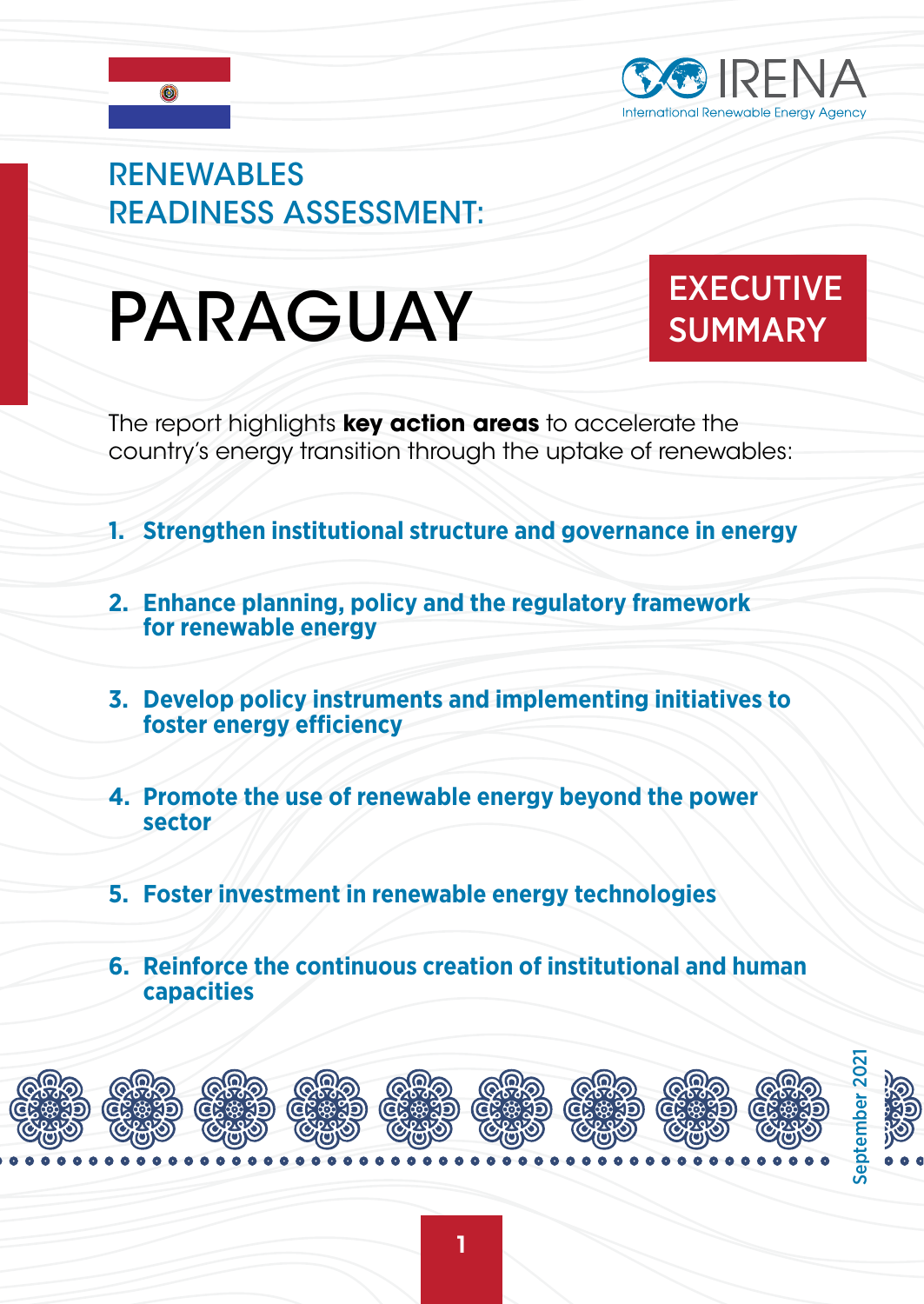

## **RENEWABLES** READINESS ASSESSMENT:

# PARAGUAY EXECUTIVE

# **SUMMARY**

The report highlights **key action areas** to accelerate the country's energy transition through the uptake of renewables:

- **1. Strengthen institutional structure and governance in energy**
- **2. Enhance planning, policy and the regulatory framework for renewable energy**
- **3. Develop policy instruments and implementing initiatives to foster energy efficiency**
- **4. Promote the use of renewable energy beyond the power sector**
- **5. Foster investment in renewable energy technologies**
- **6. Reinforce the continuous creation of institutional and human capacities**

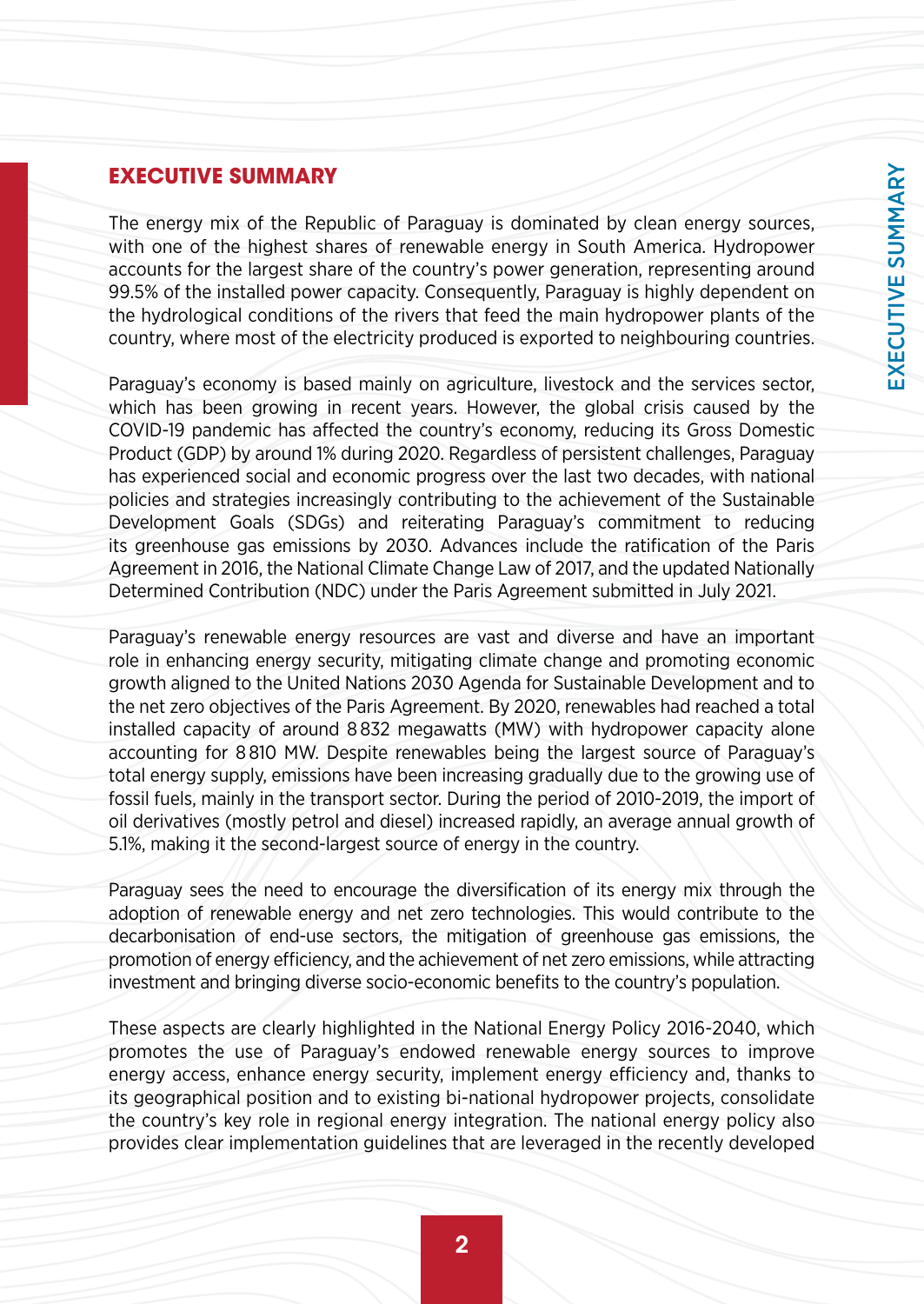### **EXECUTIVE SUMMARY**

The energy mix of the Republic of Paraguay is dominated by clean energy sources, with one of the highest shares of renewable energy in South America. Hydropower accounts for the largest share of the country's power generation, representing around 99.5% of the installed power capacity. Consequently, Paraguay is highly dependent on the hydrological conditions of the rivers that feed the main hydropower plants of the country, where most of the electricity produced is exported to neighbouring countries.

Paraguay's economy is based mainly on agriculture, livestock and the services sector, which has been growing in recent years. However, the global crisis caused by the COVID-19 pandemic has affected the country's economy, reducing its Gross Domestic Product (GDP) by around 1% during 2020. Regardless of persistent challenges, Paraguay has experienced social and economic progress over the last two decades, with national policies and strategies increasingly contributing to the achievement of the Sustainable Development Goals (SDGs) and reiterating Paraguay's commitment to reducing its greenhouse gas emissions by 2030. Advances include the ratification of the Paris Agreement in 2016, the National Climate Change Law of 2017, and the updated Nationally Determined Contribution (NDC) under the Paris Agreement submitted in July 2021.

Paraguay's renewable energy resources are vast and diverse and have an important role in enhancing energy security, mitigating climate change and promoting economic growth aligned to the United Nations 2030 Agenda for Sustainable Development and to the net zero objectives of the Paris Agreement. By 2020, renewables had reached a total installed capacity of around 8 832 megawatts (MW) with hydropower capacity alone accounting for 8 810 MW. Despite renewables being the largest source of Paraguay's total energy supply, emissions have been increasing gradually due to the growing use of fossil fuels, mainly in the transport sector. During the period of 2010-2019, the import of oil derivatives (mostly petrol and diesel) increased rapidly, an average annual growth of 5.1%, making it the second-largest source of energy in the country.

Paraguay sees the need to encourage the diversification of its energy mix through the adoption of renewable energy and net zero technologies. This would contribute to the decarbonisation of end-use sectors, the mitigation of greenhouse gas emissions, the promotion of energy efficiency, and the achievement of net zero emissions, while attracting investment and bringing diverse socio-economic benefits to the country's population.

These aspects are clearly highlighted in the National Energy Policy 2016-2040, which promotes the use of Paraguay's endowed renewable energy sources to improve energy access, enhance energy security, implement energy efficiency and, thanks to its geographical position and to existing bi-national hydropower projects, consolidate the country's key role in regional energy integration. The national energy policy also provides clear implementation guidelines that are leveraged in the recently developed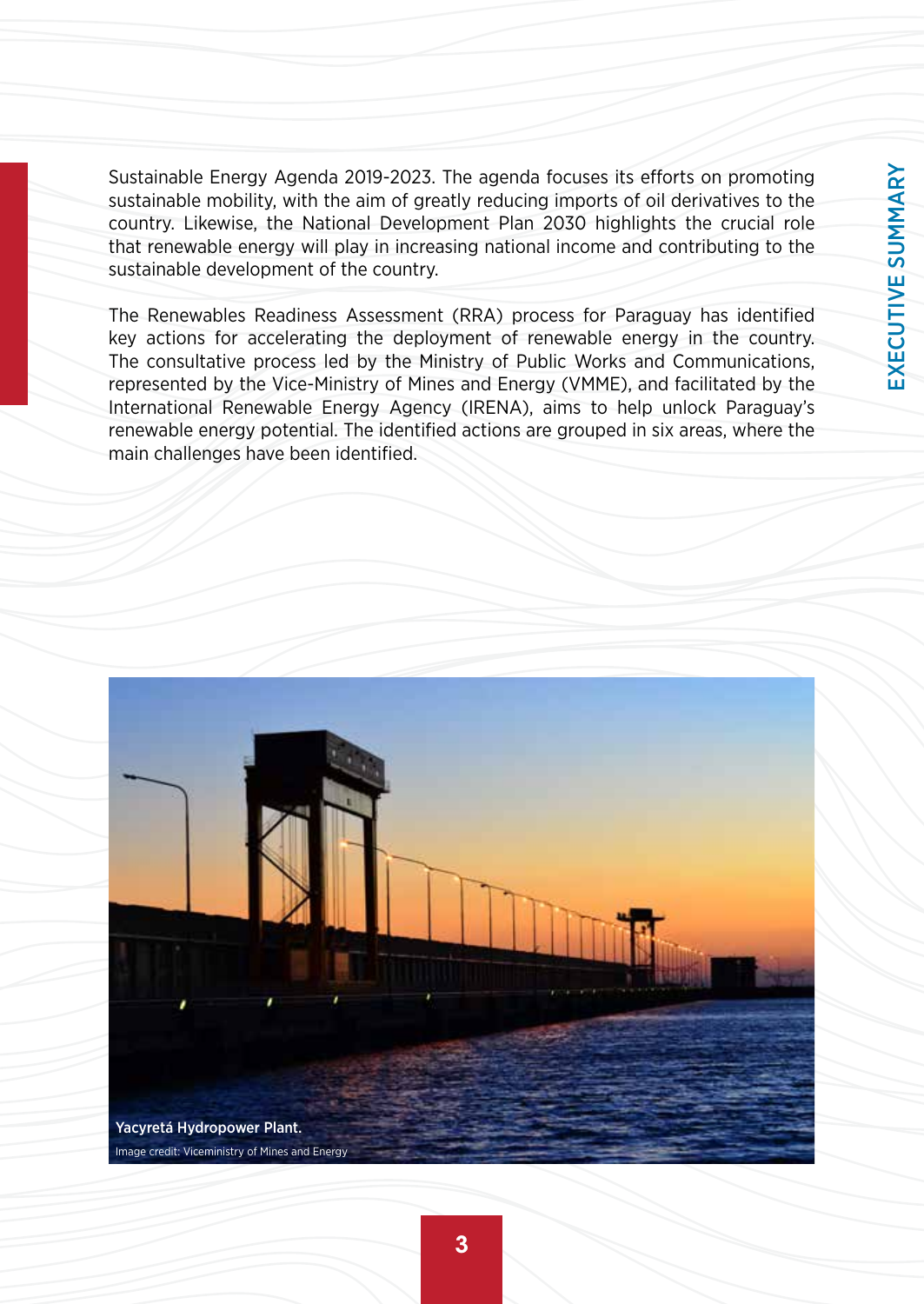EXECUTIVE SUMMARY EXECUTIVE SUMMARY

Sustainable Energy Agenda 2019-2023. The agenda focuses its efforts on promoting sustainable mobility, with the aim of greatly reducing imports of oil derivatives to the country. Likewise, the National Development Plan 2030 highlights the crucial role that renewable energy will play in increasing national income and contributing to the sustainable development of the country.

The Renewables Readiness Assessment (RRA) process for Paraguay has identified key actions for accelerating the deployment of renewable energy in the country. The consultative process led by the Ministry of Public Works and Communications, represented by the Vice-Ministry of Mines and Energy (VMME), and facilitated by the International Renewable Energy Agency (IRENA), aims to help unlock Paraguay's renewable energy potential. The identified actions are grouped in six areas, where the main challenges have been identified.

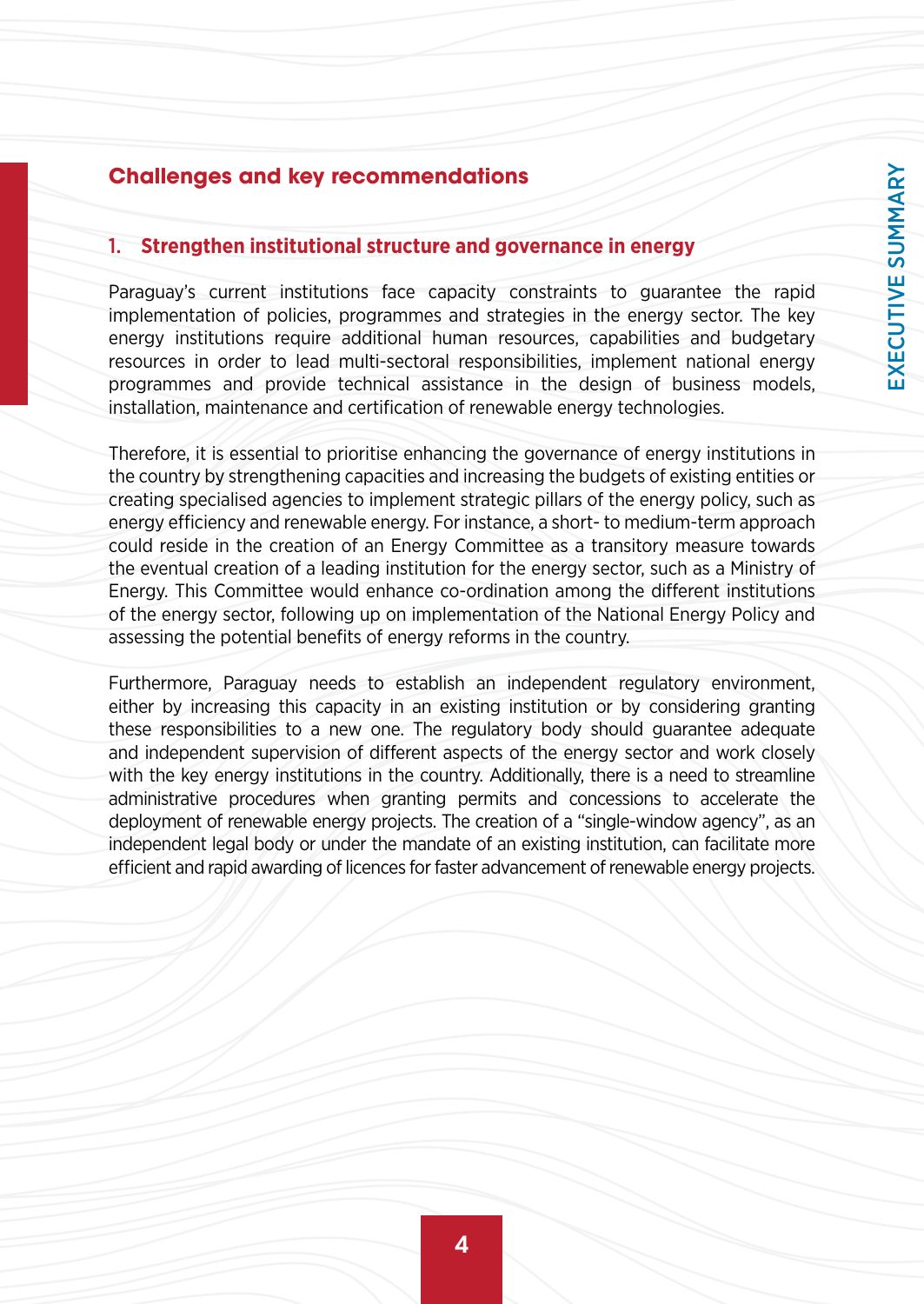### **Challenges and key recommendations**

#### 1. **Strengthen institutional structure and governance in energy**

Paraguay's current institutions face capacity constraints to guarantee the rapid implementation of policies, programmes and strategies in the energy sector. The key energy institutions require additional human resources, capabilities and budgetary resources in order to lead multi-sectoral responsibilities, implement national energy programmes and provide technical assistance in the design of business models, installation, maintenance and certification of renewable energy technologies.

Therefore, it is essential to prioritise enhancing the governance of energy institutions in the country by strengthening capacities and increasing the budgets of existing entities or creating specialised agencies to implement strategic pillars of the energy policy, such as energy efficiency and renewable energy. For instance, a short- to medium-term approach could reside in the creation of an Energy Committee as a transitory measure towards the eventual creation of a leading institution for the energy sector, such as a Ministry of Energy. This Committee would enhance co-ordination among the different institutions of the energy sector, following up on implementation of the National Energy Policy and assessing the potential benefits of energy reforms in the country.

Furthermore, Paraguay needs to establish an independent regulatory environment, either by increasing this capacity in an existing institution or by considering granting these responsibilities to a new one. The regulatory body should guarantee adequate and independent supervision of different aspects of the energy sector and work closely with the key energy institutions in the country. Additionally, there is a need to streamline administrative procedures when granting permits and concessions to accelerate the deployment of renewable energy projects. The creation of a "single-window agency", as an independent legal body or under the mandate of an existing institution, can facilitate more efficient and rapid awarding of licences for faster advancement of renewable energy projects.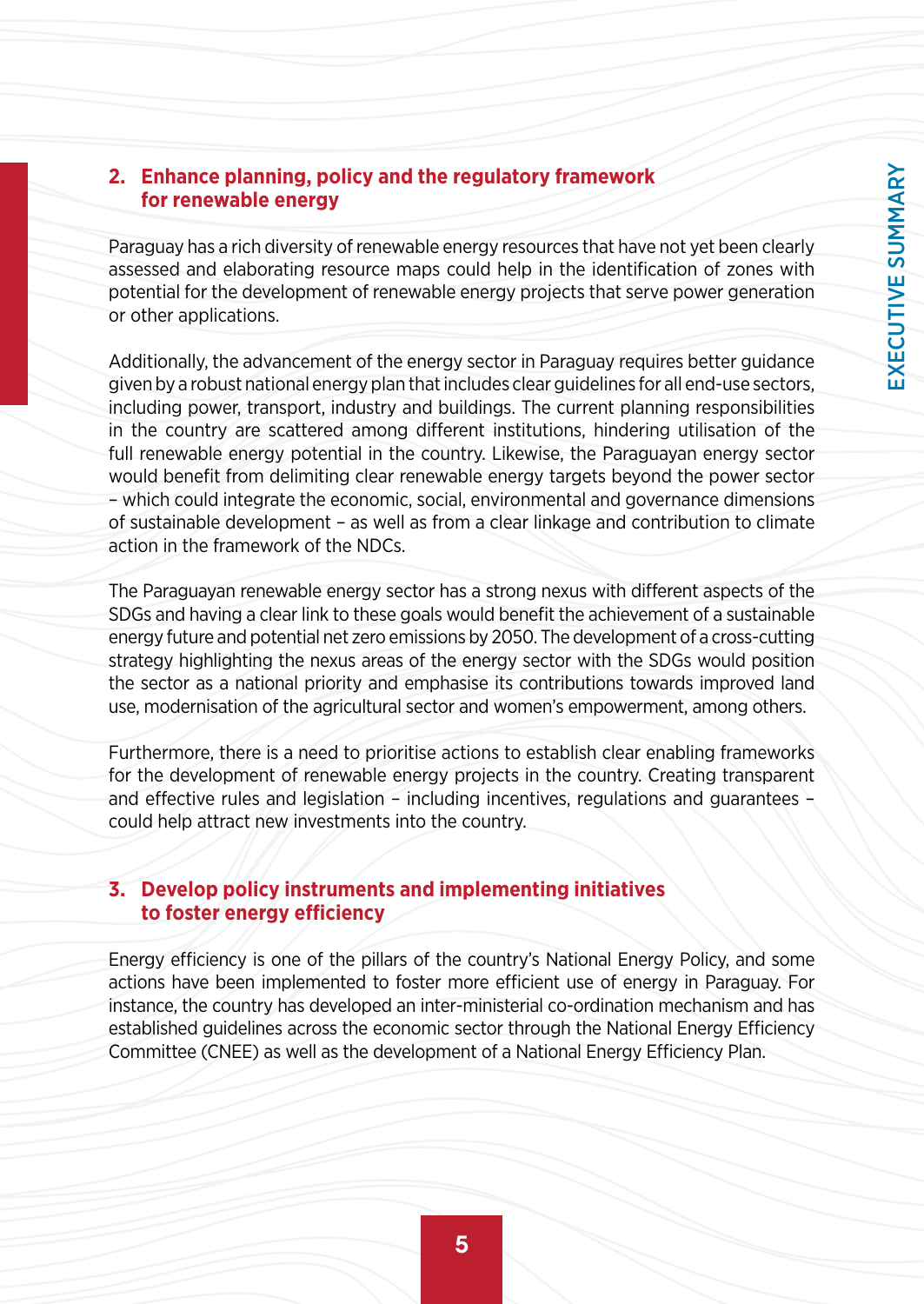#### **2. Enhance planning, policy and the regulatory framework for renewable energy**

Paraguay has a rich diversity of renewable energy resources that have not yet been clearly assessed and elaborating resource maps could help in the identification of zones with potential for the development of renewable energy projects that serve power generation or other applications.

Additionally, the advancement of the energy sector in Paraguay requires better guidance given by a robust national energy plan that includes clear guidelines for all end-use sectors, including power, transport, industry and buildings. The current planning responsibilities in the country are scattered among different institutions, hindering utilisation of the full renewable energy potential in the country. Likewise, the Paraguayan energy sector would benefit from delimiting clear renewable energy targets beyond the power sector – which could integrate the economic, social, environmental and governance dimensions of sustainable development – as well as from a clear linkage and contribution to climate action in the framework of the NDCs.

The Paraguayan renewable energy sector has a strong nexus with different aspects of the SDGs and having a clear link to these goals would benefit the achievement of a sustainable energy future and potential net zero emissions by 2050. The development of a cross-cutting strategy highlighting the nexus areas of the energy sector with the SDGs would position the sector as a national priority and emphasise its contributions towards improved land use, modernisation of the agricultural sector and women's empowerment, among others.

Furthermore, there is a need to prioritise actions to establish clear enabling frameworks for the development of renewable energy projects in the country. Creating transparent and effective rules and legislation – including incentives, regulations and guarantees – could help attract new investments into the country.

#### **3. Develop policy instruments and implementing initiatives to foster energy efficiency**

Energy efficiency is one of the pillars of the country's National Energy Policy, and some actions have been implemented to foster more efficient use of energy in Paraguay. For instance, the country has developed an inter-ministerial co-ordination mechanism and has established guidelines across the economic sector through the National Energy Efficiency Committee (CNEE) as well as the development of a National Energy Efficiency Plan.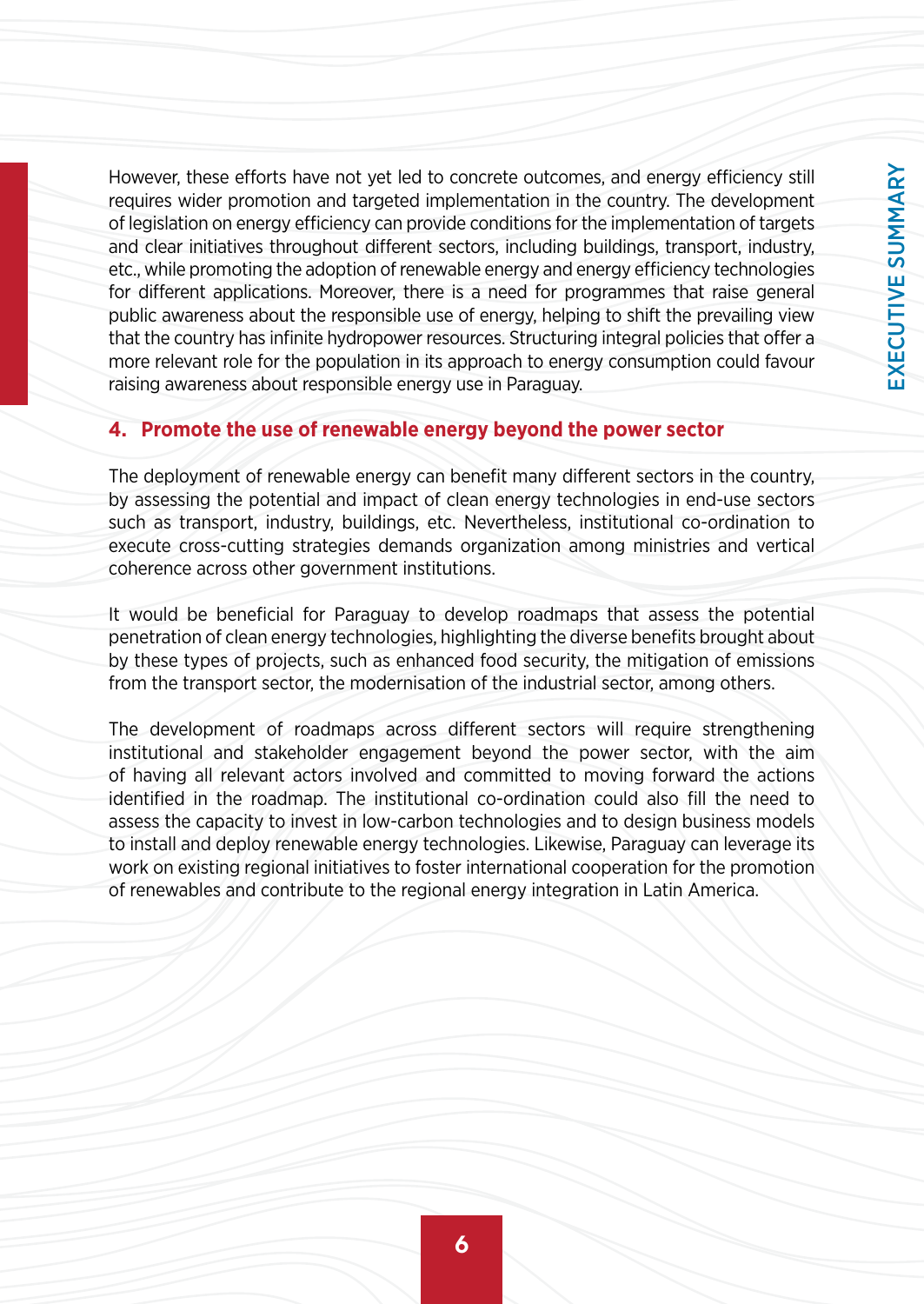However, these efforts have not yet led to concrete outcomes, and energy efficiency still requires wider promotion and targeted implementation in the country. The development of legislation on energy efficiency can provide conditions for the implementation of targets and clear initiatives throughout different sectors, including buildings, transport, industry, etc., while promoting the adoption of renewable energy and energy efficiency technologies for different applications. Moreover, there is a need for programmes that raise general public awareness about the responsible use of energy, helping to shift the prevailing view that the country has infinite hydropower resources. Structuring integral policies that offer a more relevant role for the population in its approach to energy consumption could favour raising awareness about responsible energy use in Paraguay.

#### **4. Promote the use of renewable energy beyond the power sector**

The deployment of renewable energy can benefit many different sectors in the country, by assessing the potential and impact of clean energy technologies in end-use sectors such as transport, industry, buildings, etc. Nevertheless, institutional co-ordination to execute cross-cutting strategies demands organization among ministries and vertical coherence across other government institutions.

It would be beneficial for Paraguay to develop roadmaps that assess the potential penetration of clean energy technologies, highlighting the diverse benefits brought about by these types of projects, such as enhanced food security, the mitigation of emissions from the transport sector, the modernisation of the industrial sector, among others.

The development of roadmaps across different sectors will require strengthening institutional and stakeholder engagement beyond the power sector, with the aim of having all relevant actors involved and committed to moving forward the actions identified in the roadmap. The institutional co-ordination could also fill the need to assess the capacity to invest in low-carbon technologies and to design business models to install and deploy renewable energy technologies. Likewise, Paraguay can leverage its work on existing regional initiatives to foster international cooperation for the promotion of renewables and contribute to the regional energy integration in Latin America.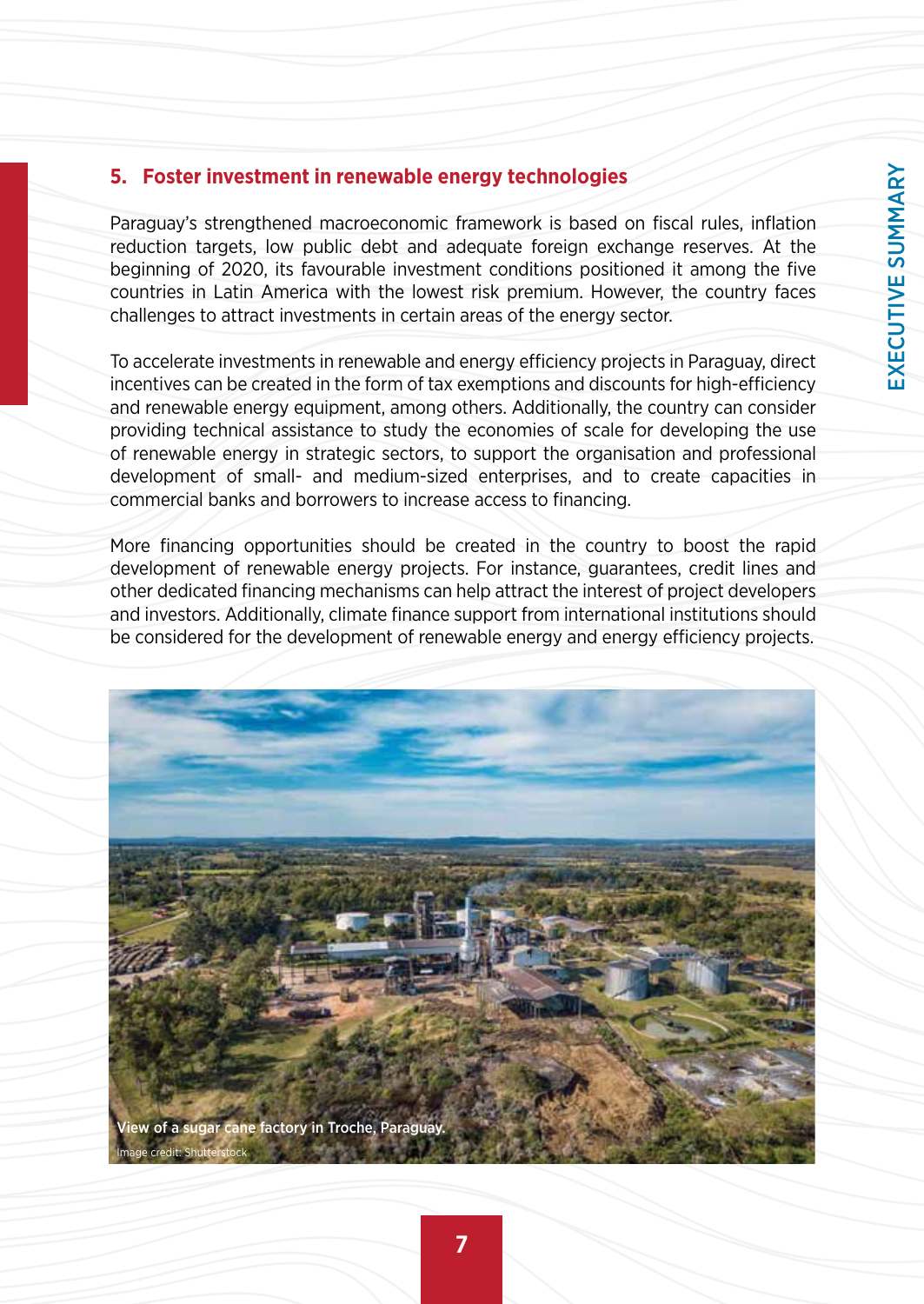### **5. Foster investment in renewable energy technologies**

Paraguay's strengthened macroeconomic framework is based on fiscal rules, inflation reduction targets, low public debt and adequate foreign exchange reserves. At the beginning of 2020, its favourable investment conditions positioned it among the five countries in Latin America with the lowest risk premium. However, the country faces challenges to attract investments in certain areas of the energy sector.

To accelerate investments in renewable and energy efficiency projects in Paraguay, direct incentives can be created in the form of tax exemptions and discounts for high-efficiency and renewable energy equipment, among others. Additionally, the country can consider providing technical assistance to study the economies of scale for developing the use of renewable energy in strategic sectors, to support the organisation and professional development of small- and medium-sized enterprises, and to create capacities in commercial banks and borrowers to increase access to financing.

More financing opportunities should be created in the country to boost the rapid development of renewable energy projects. For instance, guarantees, credit lines and other dedicated financing mechanisms can help attract the interest of project developers and investors. Additionally, climate finance support from international institutions should be considered for the development of renewable energy and energy efficiency projects.